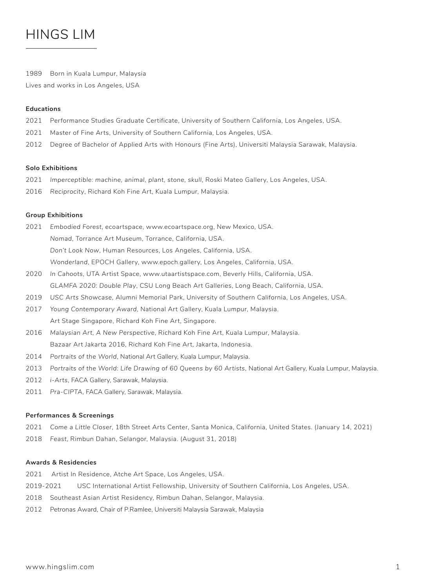# HINGS LIM

1989 Born in Kuala Lumpur, Malaysia Lives and works in Los Angeles, USA

# **Educations**

- 2021 Performance Studies Graduate Certificate, University of Southern California, Los Angeles, USA.
- 2021 Master of Fine Arts, University of Southern California, Los Angeles, USA.
- 2012 Degree of Bachelor of Applied Arts with Honours (Fine Arts), Universiti Malaysia Sarawak, Malaysia.

## **Solo Exhibitions**

- 2021 *Imperceptible: machine, animal, plant, stone, skull*, Roski Mateo Gallery, Los Angeles, USA.
- 2016 *Reciprocity*, Richard Koh Fine Art, Kuala Lumpur, Malaysia.

# **Group Exhibitions**

- 2021 *Embodied Forest*, ecoartspace, www.ecoartspace.org, New Mexico, USA. *Nomad*, Torrance Art Museum, Torrance, California, USA. *Don't Look Now*, Human Resources, Los Angeles, California, USA. *Wonderland*, EPOCH Gallery, www.epoch.gallery, Los Angeles, California, USA.
- 2020 *In Cahoots*, UTA Artist Space, www.utaartistspace.com, Beverly Hills, California, USA. *GLAMFA 2020: Double Play*, CSU Long Beach Art Galleries, Long Beach, California, USA.
- 2019 *USC Arts Showcase*, Alumni Memorial Park, University of Southern California, Los Angeles, USA.
- 2017 *Young Contemporary Award*, National Art Gallery, Kuala Lumpur, Malaysia. Art Stage Singapore, Richard Koh Fine Art, Singapore.
- 2016 *Malaysian Art, A New Perspective*, Richard Koh Fine Art, Kuala Lumpur, Malaysia. Bazaar Art Jakarta 2016, Richard Koh Fine Art, Jakarta, Indonesia.
- 2014 *Portraits of the World*, National Art Gallery, Kuala Lumpur, Malaysia.
- 2013 *Portraits of the World: Life Drawing of 60 Queens by 60 Artists*, National Art Gallery, Kuala Lumpur, Malaysia.
- 2012 *i-Arts*, FACA Gallery, Sarawak, Malaysia.
- 2011 *Pra-CIPTA*, FACA Gallery, Sarawak, Malaysia.

#### **Performances & Screenings**

- 2021 *Come a Little Closer*, 18th Street Arts Center, Santa Monica, California, United States. (January 14, 2021)
- 2018 *Feast*, Rimbun Dahan, Selangor, Malaysia. (August 31, 2018)

## **Awards & Residencies**

- 2021 Artist In Residence, Atche Art Space, Los Angeles, USA.
- 2019-2021 USC International Artist Fellowship, University of Southern California, Los Angeles, USA.
- 2018 Southeast Asian Artist Residency, Rimbun Dahan, Selangor, Malaysia.
- 2012 Petronas Award, Chair of P.Ramlee, Universiti Malaysia Sarawak, Malaysia